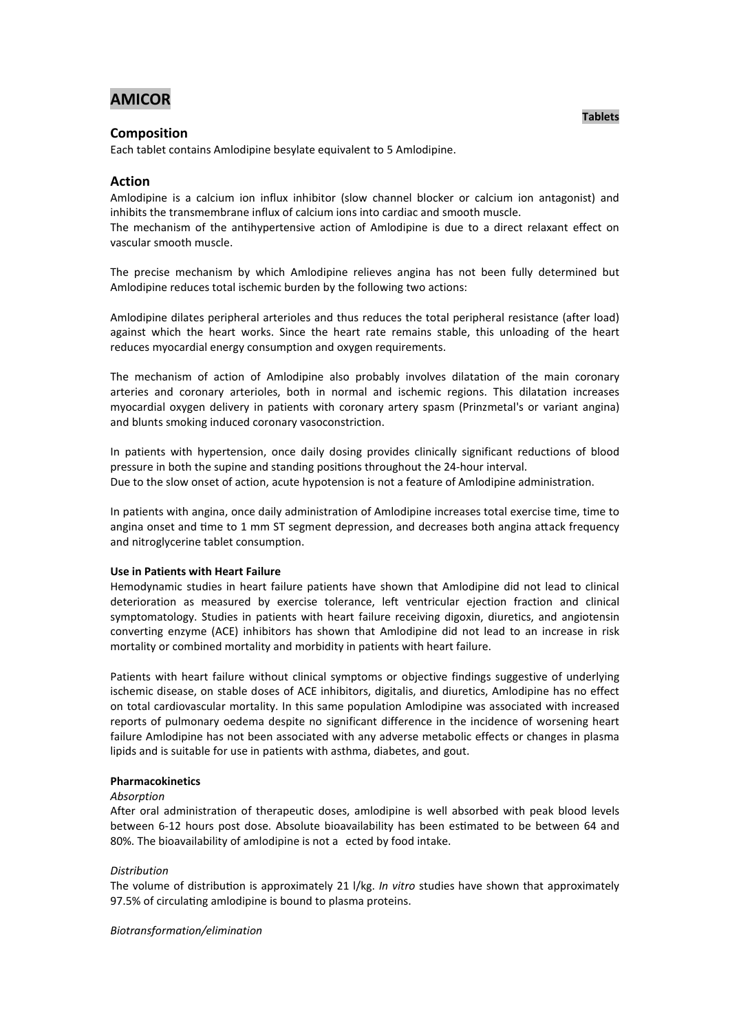# **AMICOR**

### **Composition**

Each tablet contains Amlodipine besylate equivalent to 5 Amlodipine.

## **Action**

Amlodipine is a calcium ion influx inhibitor (slow channel blocker or calcium ion antagonist) and inhibits the transmembrane influx of calcium ions into cardiac and smooth muscle.

The mechanism of the antihypertensive action of Amlodipine is due to a direct relaxant effect on vascular smooth muscle.

The precise mechanism by which Amlodipine relieves angina has not been fully determined but Amlodipine reduces total ischemic burden by the following two actions:

Amlodipine dilates peripheral arterioles and thus reduces the total peripheral resistance (after load) against which the heart works. Since the heart rate remains stable, this unloading of the heart reduces myocardial energy consumption and oxygen requirements.

The mechanism of action of Amlodipine also probably involves dilatation of the main coronary arteries and coronary arterioles, both in normal and ischemic regions. This dilatation increases myocardial oxygen delivery in patients with coronary artery spasm (Prinzmetal's or variant angina) and blunts smoking induced coronary vasoconstriction.

In patients with hypertension, once daily dosing provides clinically significant reductions of blood pressure in both the supine and standing positions throughout the 24-hour interval. Due to the slow onset of action, acute hypotension is not a feature of Amlodipine administration.

In patients with angina, once daily administration of Amlodipine increases total exercise time, time to angina onset and time to 1 mm ST segment depression, and decreases both angina attack frequency and nitroglycerine tablet consumption.

#### **Use in Patients with Heart Failure**

Hemodynamic studies in heart failure patients have shown that Amlodipine did not lead to clinical deterioration as measured by exercise tolerance, left ventricular ejection fraction and clinical symptomatology. Studies in patients with heart failure receiving digoxin, diuretics, and angiotensin converting enzyme (ACE) inhibitors has shown that Amlodipine did not lead to an increase in risk mortality or combined mortality and morbidity in patients with heart failure.

Patients with heart failure without clinical symptoms or objective findings suggestive of underlying ischemic disease, on stable doses of ACE inhibitors, digitalis, and diuretics, Amlodipine has no effect on total cardiovascular mortality. In this same population Amlodipine was associated with increased reports of pulmonary oedema despite no significant difference in the incidence of worsening heart failure Amlodipine has not been associated with any adverse metabolic effects or changes in plasma lipids and is suitable for use in patients with asthma, diabetes, and gout.

#### **Pharmacokinetics**

#### *Absorption*

After oral administration of therapeutic doses, amlodipine is well absorbed with peak blood levels between 6-12 hours post dose. Absolute bioavailability has been estimated to be between 64 and 80%. The bioavailability of amlodipine is not a ected by food intake.

#### *Distribution*

The volume of distribution is approximately 21 l/kg. *In vitro* studies have shown that approximately 97.5% of circulating amlodipine is bound to plasma proteins.

*Biotransformation/elimination*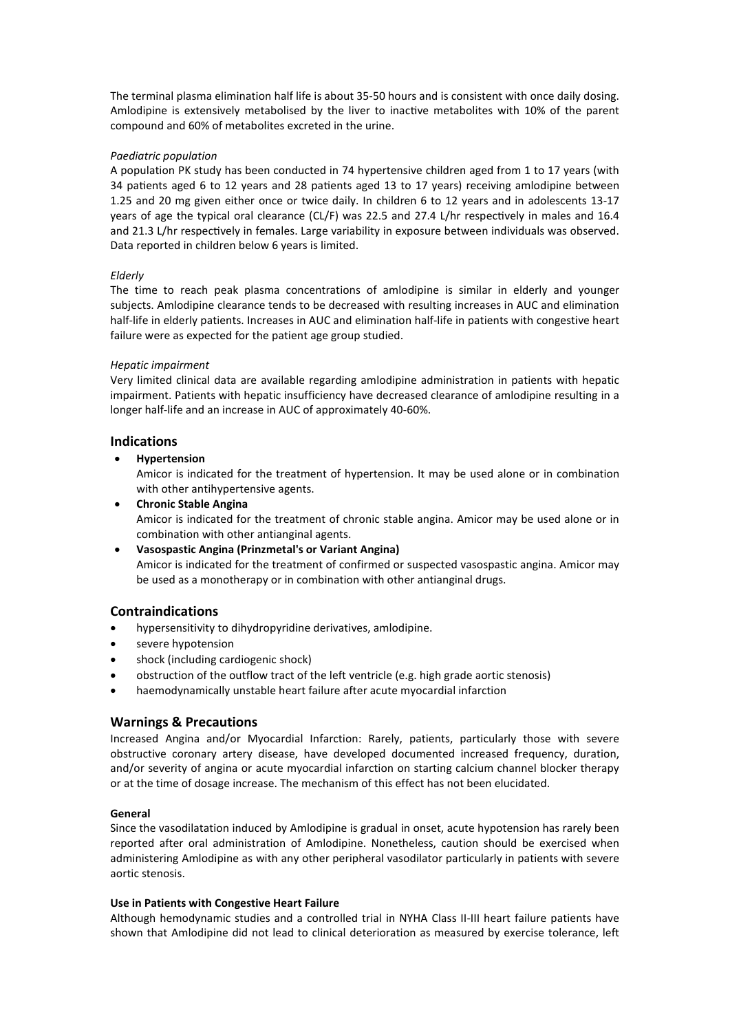The terminal plasma elimination half life is about 35-50 hours and is consistent with once daily dosing. Amlodipine is extensively metabolised by the liver to inactive metabolites with 10% of the parent compound and 60% of metabolites excreted in the urine.

### *Paediatric population*

A population PK study has been conducted in 74 hypertensive children aged from 1 to 17 years (with 34 patients aged 6 to 12 years and 28 patients aged 13 to 17 years) receiving amlodipine between 1.25 and 20 mg given either once or twice daily. In children 6 to 12 years and in adolescents 13-17 years of age the typical oral clearance (CL/F) was 22.5 and 27.4 L/hr respectively in males and 16.4 and 21.3 L/hr respectively in females. Large variability in exposure between individuals was observed. Data reported in children below 6 years is limited.

## *Elderly*

The time to reach peak plasma concentrations of amlodipine is similar in elderly and younger subjects. Amlodipine clearance tends to be decreased with resulting increases in AUC and elimination half-life in elderly patients. Increases in AUC and elimination half-life in patients with congestive heart failure were as expected for the patient age group studied.

## *Hepatic impairment*

Very limited clinical data are available regarding amlodipine administration in patients with hepatic impairment. Patients with hepatic insufficiency have decreased clearance of amlodipine resulting in a longer half-life and an increase in AUC of approximately 40-60%.

## **Indications**

**Hypertension**

Amicor is indicated for the treatment of hypertension. It may be used alone or in combination with other antihypertensive agents.

 **Chronic Stable Angina** Amicor is indicated for the treatment of chronic stable angina. Amicor may be used alone or in combination with other antianginal agents.

 **Vasospastic Angina (Prinzmetal's or Variant Angina)** Amicor is indicated for the treatment of confirmed or suspected vasospastic angina. Amicor may be used as a monotherapy or in combination with other antianginal drugs.

## **Contraindications**

- hypersensitivity to dihydropyridine derivatives, amlodipine.
- severe hypotension
- shock (including cardiogenic shock)
- obstruction of the outflow tract of the left ventricle (e.g. high grade aortic stenosis)
- haemodynamically unstable heart failure after acute myocardial infarction

## **Warnings & Precautions**

Increased Angina and/or Myocardial Infarction: Rarely, patients, particularly those with severe obstructive coronary artery disease, have developed documented increased frequency, duration, and/or severity of angina or acute myocardial infarction on starting calcium channel blocker therapy or at the time of dosage increase. The mechanism of this effect has not been elucidated.

## **General**

Since the vasodilatation induced by Amlodipine is gradual in onset, acute hypotension has rarely been reported after oral administration of Amlodipine. Nonetheless, caution should be exercised when administering Amlodipine as with any other peripheral vasodilator particularly in patients with severe aortic stenosis.

### **Use in Patients with Congestive Heart Failure**

Although hemodynamic studies and a controlled trial in NYHA Class II-III heart failure patients have shown that Amlodipine did not lead to clinical deterioration as measured by exercise tolerance, left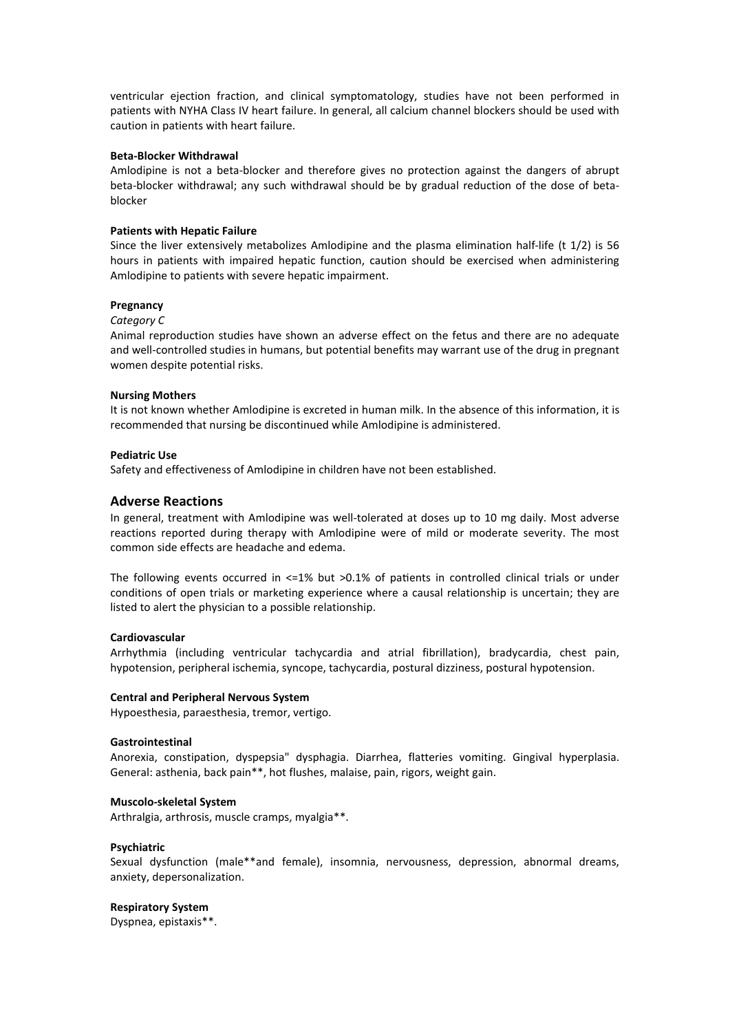ventricular ejection fraction, and clinical symptomatology, studies have not been performed in patients with NYHA Class IV heart failure. In general, all calcium channel blockers should be used with caution in patients with heart failure.

#### **Beta-Blocker Withdrawal**

Amlodipine is not a beta-blocker and therefore gives no protection against the dangers of abrupt beta-blocker withdrawal; any such withdrawal should be by gradual reduction of the dose of betablocker

#### **Patients with Hepatic Failure**

Since the liver extensively metabolizes Amlodipine and the plasma elimination half-life (t 1/2) is 56 hours in patients with impaired hepatic function, caution should be exercised when administering Amlodipine to patients with severe hepatic impairment.

### **Pregnancy**

#### *Category C*

Animal reproduction studies have shown an adverse effect on the fetus and there are no adequate and well-controlled studies in humans, but potential benefits may warrant use of the drug in pregnant women despite potential risks.

#### **Nursing Mothers**

It is not known whether Amlodipine is excreted in human milk. In the absence of this information, it is recommended that nursing be discontinued while Amlodipine is administered.

#### **Pediatric Use**

Safety and effectiveness of Amlodipine in children have not been established.

### **Adverse Reactions**

In general, treatment with Amlodipine was well-tolerated at doses up to 10 mg daily. Most adverse reactions reported during therapy with Amlodipine were of mild or moderate severity. The most common side effects are headache and edema.

The following events occurred in  $\leq 1\%$  but >0.1% of patients in controlled clinical trials or under conditions of open trials or marketing experience where a causal relationship is uncertain; they are listed to alert the physician to a possible relationship.

#### **Cardiovascular**

Arrhythmia (including ventricular tachycardia and atrial fibrillation), bradycardia, chest pain, hypotension, peripheral ischemia, syncope, tachycardia, postural dizziness, postural hypotension.

#### **Central and Peripheral Nervous System**

Hypoesthesia, paraesthesia, tremor, vertigo.

#### **Gastrointestinal**

Anorexia, constipation, dyspepsia" dysphagia. Diarrhea, flatteries vomiting. Gingival hyperplasia. General: asthenia, back pain\*\*, hot flushes, malaise, pain, rigors, weight gain.

#### **Muscolo-skeletal System**

Arthralgia, arthrosis, muscle cramps, myalgia\*\*.

#### **Psychiatric**

Sexual dysfunction (male\*\*and female), insomnia, nervousness, depression, abnormal dreams, anxiety, depersonalization.

#### **Respiratory System**

Dyspnea, epistaxis\*\*.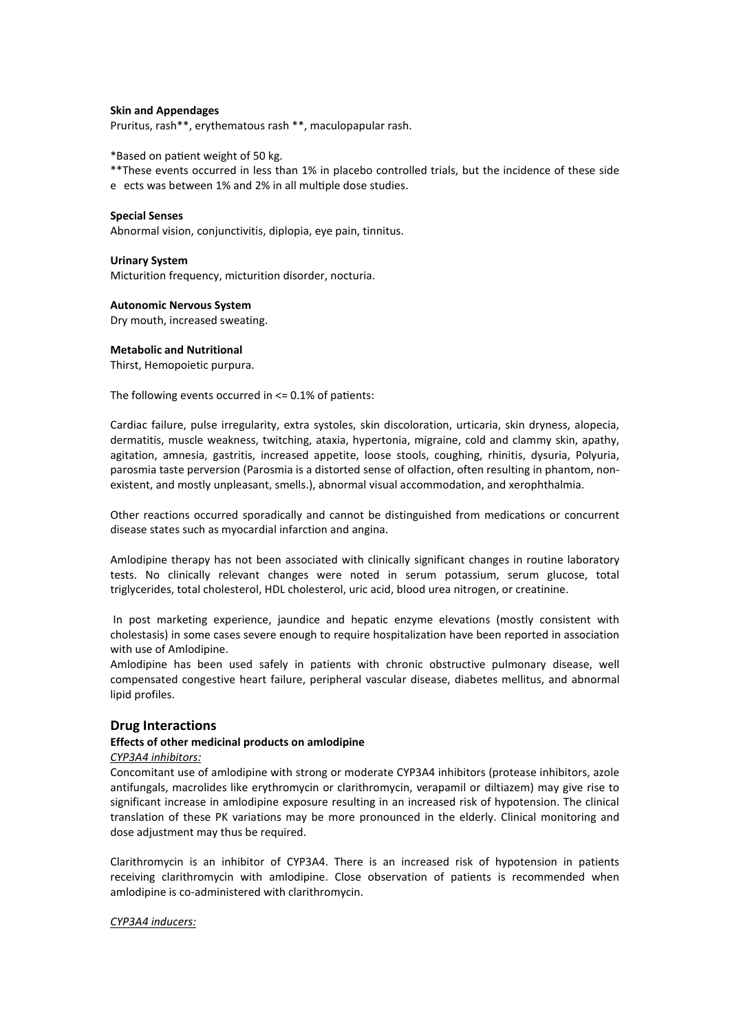#### **Skin and Appendages**

Pruritus, rash\*\*, erythematous rash \*\*, maculopapular rash.

\*Based on patient weight of 50 kg.

- \*\*These events occurred in less than 1% in placebo controlled trials, but the incidence of these side
- e ects was between 1% and 2% in all multiple dose studies.

#### **Special Senses**

Abnormal vision, conjunctivitis, diplopia, eye pain, tinnitus.

#### **Urinary System**

Micturition frequency, micturition disorder, nocturia.

#### **Autonomic Nervous System**

Dry mouth, increased sweating.

#### **Metabolic and Nutritional**

Thirst, Hemopoietic purpura.

The following events occurred in  $\leq$  0.1% of patients:

Cardiac failure, pulse irregularity, extra systoles, skin discoloration, urticaria, skin dryness, alopecia, dermatitis, muscle weakness, twitching, ataxia, hypertonia, migraine, cold and clammy skin, apathy, agitation, amnesia, gastritis, increased appetite, loose stools, coughing, rhinitis, dysuria, Polyuria, parosmia taste perversion (Parosmia is a distorted sense of olfaction, often resulting in phantom, nonexistent, and mostly unpleasant, smells.), abnormal visual accommodation, and xerophthalmia.

Other reactions occurred sporadically and cannot be distinguished from medications or concurrent disease states such as myocardial infarction and angina.

Amlodipine therapy has not been associated with clinically significant changes in routine laboratory tests. No clinically relevant changes were noted in serum potassium, serum glucose, total triglycerides, total cholesterol, HDL cholesterol, uric acid, blood urea nitrogen, or creatinine.

In post marketing experience, jaundice and hepatic enzyme elevations (mostly consistent with cholestasis) in some cases severe enough to require hospitalization have been reported in association with use of Amlodipine.

Amlodipine has been used safely in patients with chronic obstructive pulmonary disease, well compensated congestive heart failure, peripheral vascular disease, diabetes mellitus, and abnormal lipid profiles.

### **Drug Interactions**

#### **Effects of other medicinal products on amlodipine**

#### *CYP3A4 inhibitors:*

Concomitant use of amlodipine with strong or moderate CYP3A4 inhibitors (protease inhibitors, azole antifungals, macrolides like erythromycin or clarithromycin, verapamil or diltiazem) may give rise to significant increase in amlodipine exposure resulting in an increased risk of hypotension. The clinical translation of these PK variations may be more pronounced in the elderly. Clinical monitoring and dose adjustment may thus be required.

Clarithromycin is an inhibitor of CYP3A4. There is an increased risk of hypotension in patients receiving clarithromycin with amlodipine. Close observation of patients is recommended when amlodipine is co-administered with clarithromycin.

#### *CYP3A4 inducers:*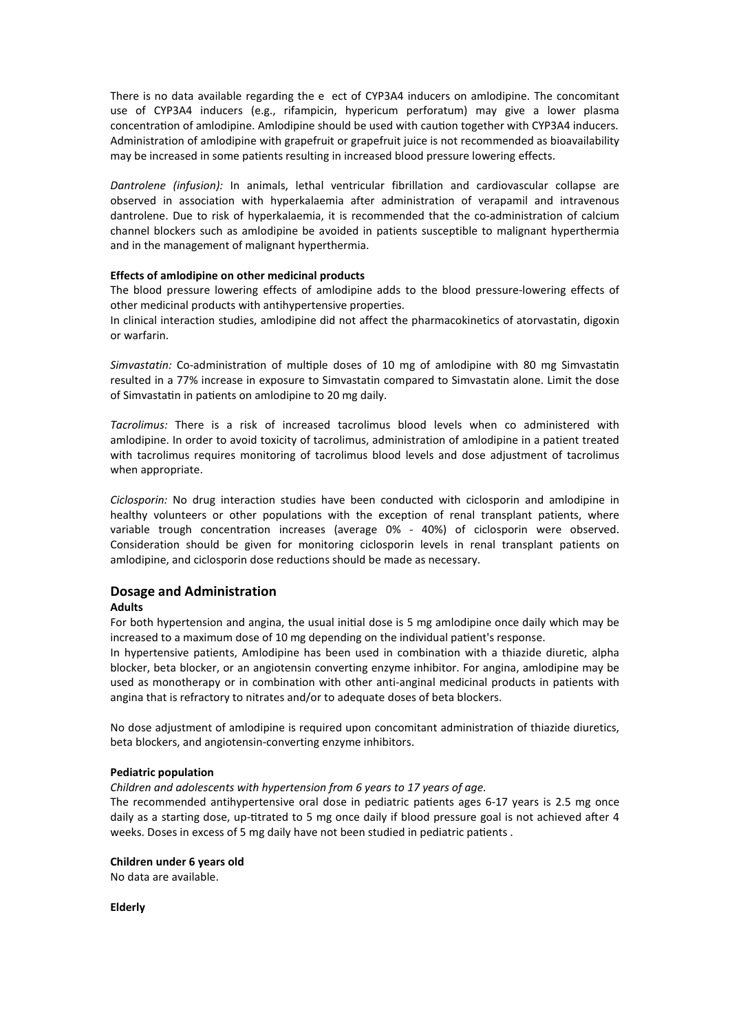There is no data available regarding the e ect of CYP3A4 inducers on amlodipine. The concomitant use of CYP3A4 inducers (e.g., rifampicin, hypericum perforatum) may give a lower plasma concentration of amlodipine. Amlodipine should be used with caution together with CYP3A4 inducers. Administration of amlodipine with grapefruit or grapefruit juice is not recommended as bioavailability may be increased in some patients resulting in increased blood pressure lowering effects.

*Dantrolene (infusion):* In animals, lethal ventricular fibrillation and cardiovascular collapse are observed in association with hyperkalaemia after administration of verapamil and intravenous dantrolene. Due to risk of hyperkalaemia, it is recommended that the co-administration of calcium channel blockers such as amlodipine be avoided in patients susceptible to malignant hyperthermia and in the management of malignant hyperthermia.

#### **Effects of amlodipine on other medicinal products**

The blood pressure lowering effects of amlodipine adds to the blood pressure-lowering effects of other medicinal products with antihypertensive properties.

In clinical interaction studies, amlodipine did not affect the pharmacokinetics of atorvastatin, digoxin or warfarin.

*Simvastatin:* Co-administration of multiple doses of 10 mg of amlodipine with 80 mg Simvastatin resulted in a 77% increase in exposure to Simvastatin compared to Simvastatin alone. Limit the dose of Simvastatin in patients on amlodipine to 20 mg daily.

*Tacrolimus:* There is a risk of increased tacrolimus blood levels when co administered with amlodipine. In order to avoid toxicity of tacrolimus, administration of amlodipine in a patient treated with tacrolimus requires monitoring of tacrolimus blood levels and dose adjustment of tacrolimus when appropriate.

*Ciclosporin:* No drug interaction studies have been conducted with ciclosporin and amlodipine in healthy volunteers or other populations with the exception of renal transplant patients, where variable trough concentration increases (average  $0\%$  - 40%) of ciclosporin were observed. Consideration should be given for monitoring ciclosporin levels in renal transplant patients on amlodipine, and ciclosporin dose reductions should be made as necessary.

## **Dosage and Administration**

#### **Adults**

For both hypertension and angina, the usual initial dose is 5 mg amlodipine once daily which may be increased to a maximum dose of 10 mg depending on the individual patient's response.

In hypertensive patients, Amlodipine has been used in combination with a thiazide diuretic, alpha blocker, beta blocker, or an angiotensin converting enzyme inhibitor. For angina, amlodipine may be used as monotherapy or in combination with other anti-anginal medicinal products in patients with angina that is refractory to nitrates and/or to adequate doses of beta blockers.

No dose adjustment of amlodipine is required upon concomitant administration of thiazide diuretics, beta blockers, and angiotensin-converting enzyme inhibitors.

#### **Pediatric population**

*Children and adolescents with hypertension from 6 years to 17 years of age.*

The recommended antihypertensive oral dose in pediatric patients ages 6-17 years is 2.5 mg once daily as a starting dose, up-titrated to 5 mg once daily if blood pressure goal is not achieved after 4 weeks. Doses in excess of 5 mg daily have not been studied in pediatric patients.

#### **Children under 6 years old**

No data are available.

**Elderly**